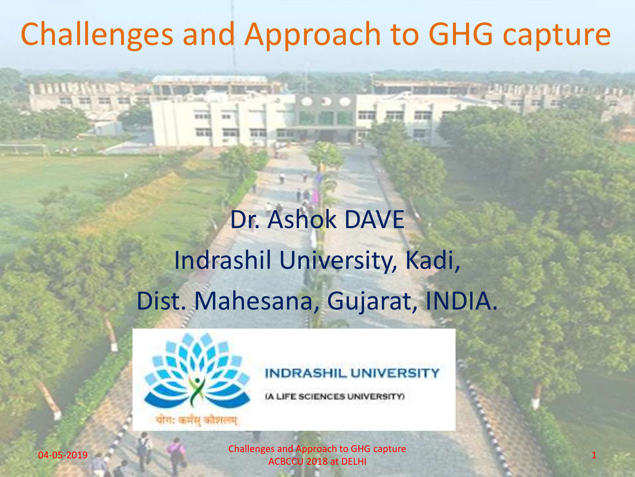## Challenges and Approach to GHG capture

## Dr. Ashok DAVE Indrashil University, Kadi, Dist. Mahesana, Gujarat, INDIA.



### **INDRASHIL UNIVERSIT**

**JFE SCIENCES UNIVERSITY)** 

04-05-2019 Challenges and Approach to GHG capture **ACBCCU 2018 at DELHI**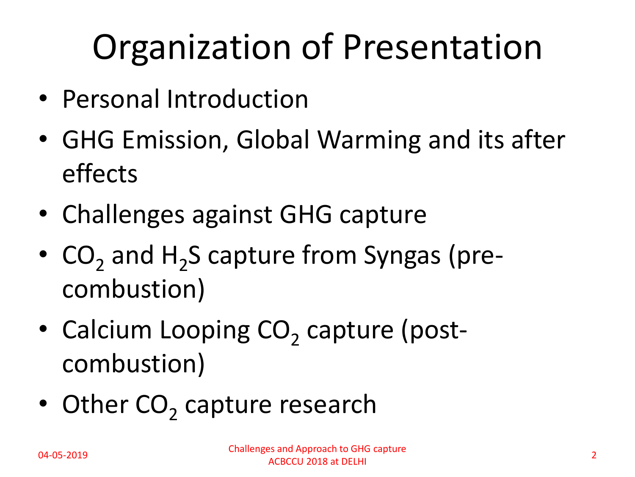## Organization of Presentation

- Personal Introduction
- GHG Emission, Global Warming and its after effects
- Challenges against GHG capture
- $CO<sub>2</sub>$  and  $H<sub>2</sub>S$  capture from Syngas (precombustion)
- Calcium Looping CO<sub>2</sub> capture (postcombustion)
- Other CO<sub>2</sub> capture research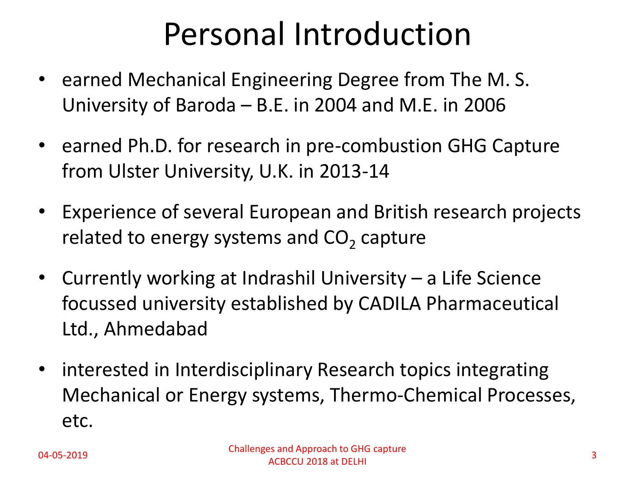## Personal Introduction

- earned Mechanical Engineering Degree from The M. S. University of Baroda – B.E. in 2004 and M.E. in 2006
- earned Ph.D. for research in pre-combustion GHG Capture from Ulster University, U.K. in 2013-14
- Experience of several European and British research projects related to energy systems and  $\text{CO}_2$  capture
- Currently working at Indrashil University a Life Science focussed university established by CADILA Pharmaceutical Ltd., Ahmedabad
- interested in Interdisciplinary Research topics integrating Mechanical or Energy systems, Thermo-Chemical Processes, etc.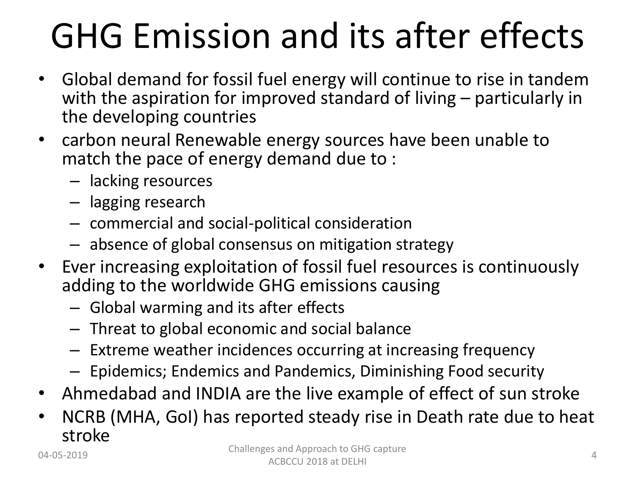## GHG Emission and its after effects

- Global demand for fossil fuel energy will continue to rise in tandem with the aspiration for improved standard of living – particularly in the developing countries
- carbon neural Renewable energy sources have been unable to match the pace of energy demand due to :
	- lacking resources
	- lagging research
	- commercial and social-political consideration
	- absence of global consensus on mitigation strategy
- Ever increasing exploitation of fossil fuel resources is continuously adding to the worldwide GHG emissions causing
	- Global warming and its after effects
	- Threat to global economic and social balance
	- Extreme weather incidences occurring at increasing frequency
	- Epidemics; Endemics and Pandemics, Diminishing Food security
- Ahmedabad and INDIA are the live example of effect of sun stroke
- NCRB (MHA, GoI) has reported steady rise in Death rate due to heat stroke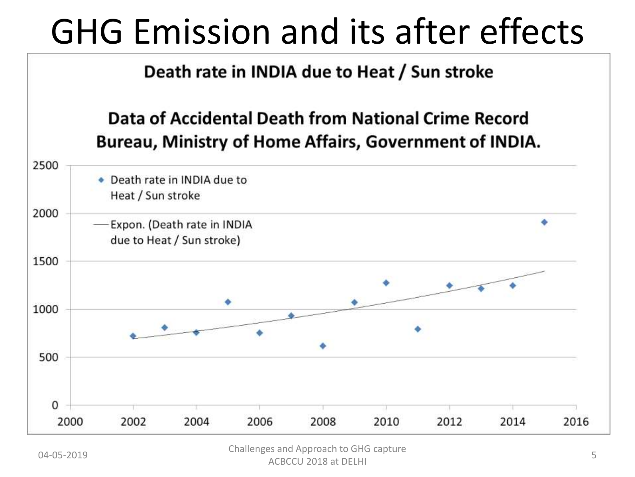## GHG Emission and its after effects



04-05-2019 Challenges and Approach to GHG capture ACBCCU 2018 at DELHI 5 and the capture of the capture of the capture of the capture of the capture of the capture of the capture of the capture of the capture of the capture of the capture of the capture of the capture of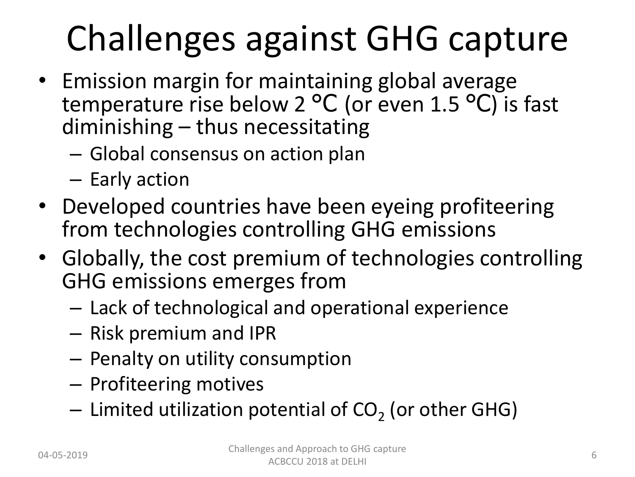## Challenges against GHG capture

- Emission margin for maintaining global average temperature rise below 2 °C (or even 1.5 °C) is fast diminishing – thus necessitating
	- Global consensus on action plan
	- Early action
- Developed countries have been eyeing profiteering from technologies controlling GHG emissions
- Globally, the cost premium of technologies controlling GHG emissions emerges from
	- Lack of technological and operational experience
	- Risk premium and IPR
	- Penalty on utility consumption
	- Profiteering motives
	- $-$  Limited utilization potential of CO<sub>2</sub> (or other GHG)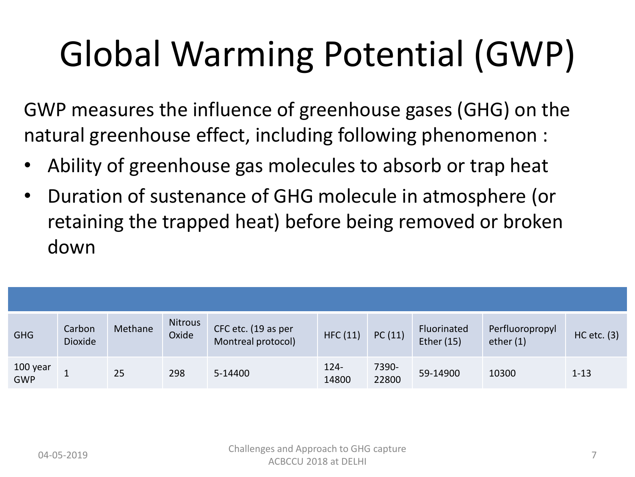# Global Warming Potential (GWP)

GWP measures the influence of greenhouse gases (GHG) on the natural greenhouse effect, including following phenomenon :

- Ability of greenhouse gas molecules to absorb or trap heat
- Duration of sustenance of GHG molecule in atmosphere (or retaining the trapped heat) before being removed or broken down

| <b>GHG</b>      | Carbon<br><b>Dioxide</b> | Methane | <b>Nitrous</b><br>Oxide | CFC etc. (19 as per<br>Montreal protocol) | HFC(11)          | PC(11)         | Fluorinated<br>Ether (15) | Perfluoropropyl<br>ether $(1)$ | $HC$ etc. $(3)$ |
|-----------------|--------------------------|---------|-------------------------|-------------------------------------------|------------------|----------------|---------------------------|--------------------------------|-----------------|
| 100 year<br>GWP |                          | 25      | 298                     | 5-14400                                   | $124 -$<br>14800 | 7390-<br>22800 | 59-14900                  | 10300                          | $1 - 13$        |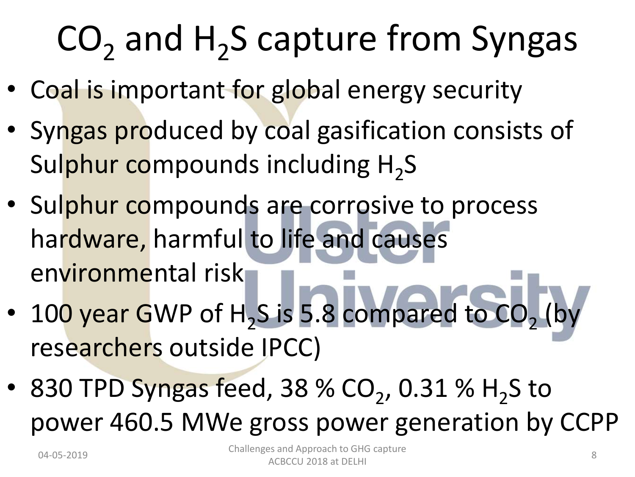# $CO<sub>2</sub>$  and H<sub>2</sub>S capture from Syngas

- Coal is important for global energy security
- Syngas produced by coal gasification consists of Sul<mark>phur co</mark>mpounds including H<sub>2</sub>S
- Sulphur compounds are corrosive to process hardware, harmful to life and causes environmental risk
- 100 year GWP of H<sub>2</sub>S is 5.8 compared to CO<sub>2</sub> (by researchers outside IPCC)
- 830 TPD Syngas feed, 38 % CO<sub>2</sub>, 0.31 % H<sub>2</sub>S to power 460.5 MWe gross power generation by CCPP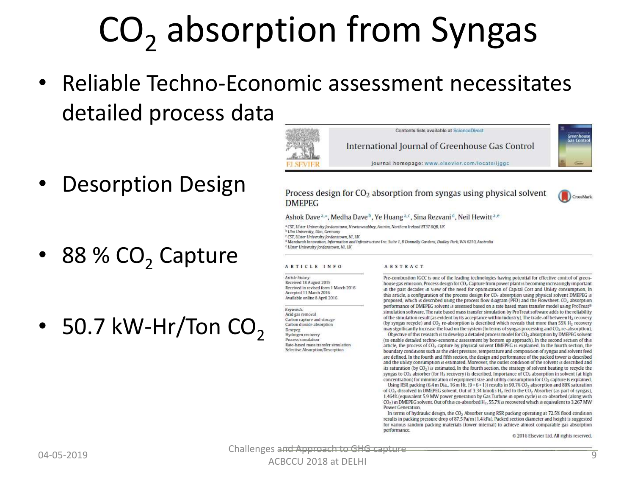# CO<sub>2</sub> absorption from Syngas

• Reliable Techno-Economic assessment necessitates detailed process data

- **Desorption Design**
- 88 %  $CO<sub>2</sub>$  Capture
- 50.7 kW-Hr/Ton  $CO<sub>2</sub>$

Contents lists available at ScienceDirect International Journal of Greenhouse Gas Control journal homepage: www.elsevier.com/locate/liggc

Process design for  $CO<sub>2</sub>$  absorption from syngas using physical solvent **DMEPEG** 

![](_page_8_Picture_7.jpeg)

<sup>2</sup> CST, Ulster University Jordanstown, Newtownabbey, Antrim, Northern Ireland BT37 0QB, UK

<sup>b</sup> Ulm University, Ulm, Germany

<sup>t</sup> CST, UIster University Jordanstown, NI, UK

<sup>d</sup> Mandurah Innovation, Information and Infrastructure Inc. Suite 1, 8 Donnelly Gardens, Dudley Park, WA 6210, Australia <sup>e</sup> Ulster University Jordanstown, NI, UK

#### ARTICLE INFO

#### **ABSTRACT**

Article history: Received 18 August 2015 Received in revised form 1 March 2016 Accepted 11 March 2016 Available online 8 April 2016

Keywords:

Acid gas removal Carbon capture and storage Carbon dioxide absorption Dmepeg Hydrogen recovery Process simulation Rate-based mass transfer simulation Selective Absorption/Desorption

Pre-combustion IGCC is one of the leading technologies having potential for effective control of greenhouse gas emission. Process design for CO<sub>2</sub> Capture from power plant is becoming increasingly important in the past decades in view of the need for optimization of Capital Cost and Utility consumption. In this article, a configuration of the process design for CO<sub>2</sub> absorption using physical solvent DMEPEG is proposed, which is described using the process flow diagram (PFD) and the Flowsheet, CO<sub>2</sub> absorption performance of DMEPEG solvent is assessed based on a rate based mass transfer model using ProTreat® simulation software. The rate based mass transfer simulation by ProTreat software adds to the reliability of the simulation result (as evident by its acceptance within industry). The trade-off between H<sub>2</sub> recovery (by syngas recycle) and CO<sub>2</sub> re-absorption is described which reveals that more than 55% H<sub>2</sub> recovery may significantly increase the load on the system (in terms of syngas processing and CO<sub>2</sub> re-absorption),

Objective of this research is to develop a detailed process model for CO<sub>2</sub> absorption by DMEPEG solvent (to enable detailed techno-economic assessment by bottom up approach). In the second section of this article, the process of CO<sub>2</sub> capture by physical solvent DMEPEG is explained. In the fourth section, the boundary conditions such as the inlet pressure, temperature and composition of syngas and solvent feed are defined. In the fourth and fifth section, the design and performance of the packed tower is described and the utility consumption is estimated. Moreover, the outlet condition of the solvent is described and its saturation (by  $CO<sub>2</sub>$ ) is estimated. In the fourth section, the strategy of solvent heating to recycle the syngas to CO<sub>2</sub> absorber (for H<sub>2</sub> recovery) is described. Importance of CO<sub>2</sub> absorption in solvent (at high concentration) for minimization of equipment size and utility consumption for CO<sub>2</sub> capture is explained. Using RSR packing (6.4 m Dia., 16 m Ht.  $(9+6+1)$ ) results in 90.7% CO<sub>2</sub> absorption and 89% saturation

of CO<sub>2</sub> dissolved in DMEPEG solvent. Out of 3.34 kmol/s H<sub>2</sub> fed to the CO<sub>2</sub> Absorber (as part of syngas), 1.464% (equivalent 5.9 MW power generation by Gas Turbine in open cycle) is co-absorbed (along with CO<sub>2</sub>) in DMEPEG solvent. Out of this co-absorbed H<sub>2</sub>, 55.7% is recovered which is equivalent to 3.267 MW **Power Generation** 

In terms of hydraulic design, the CO<sub>2</sub> Absorber using RSR packing operating at 72.5% flood condition results in packing pressure drop of 87.5 Pa/m (1.4 kPa). Packed section diameter and height is suggested for various random packing materials (tower internal) to achieve almost comparable gas absorption performance.

@ 2016 Elsevier Ltd, All rights reserved,

04-05-2019 Challenges an<del>d Approach to GHG capture</del>

CrossMark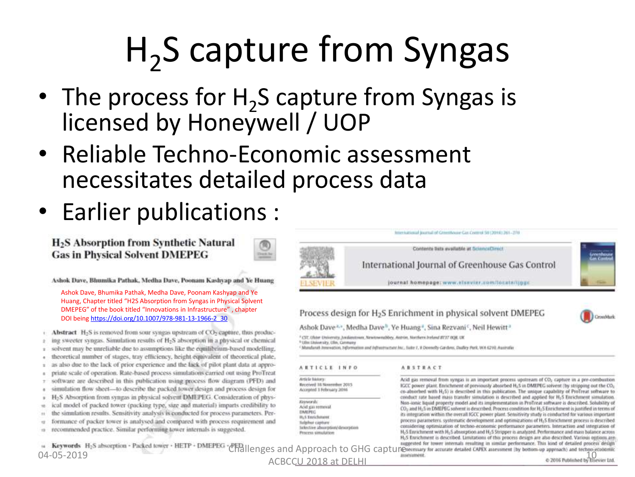# H<sub>2</sub>S capture from Syngas

- The process for  $H_2S$  capture from Syngas is licensed by Honeywell / UOP
- Reliable Techno-Economic assessment necessitates detailed process data

Den he

• Earlier publications :

H<sub>2</sub>S Absorption from Synthetic Natural **Gas in Physical Solvent DMEPEG** 

Ashok Dave, Bhumika Pathak, Medha Dave, Poonam Kashyap and Ye Huang

+ ...<br>
Hu<br>
DN<br>
DC Ashok Dave, Bhumika Pathak, Medha Dave, Poonam Kashyap and Ye Huang, Chapter titled "H2S Absorption from Syngas in Physical Solvent DMEPEG" of the book titled "Innovations in Infrastructure" , chapter DOI being [https://doi.org/10.1007/978-981-13-1966-2\\_30](https://doi.org/10.1007/978-981-13-1966-2_30)

• **Abstract** H<sub>2</sub>S is removed from sour syngas upstream of CO<sub>2</sub> capture, thus produc-<br>
2 ing sweeter syngas. Simulation results of H<sub>2</sub>S absorption in a physical or chemical<br>
2 solvent may be unreliable due to assumptions

- 
- <sup>2</sup> as also due to the lack of prior experience and the lack of pilot plant data at appropriate scale of operation. Rate-based process simulations carried out using ProTreat<br><sup>2</sup> software are described in this publication u
- 
- 
- $\alpha$
- H2S Absorption from syngas in physical solvent DMEPEG. Consideration of phys-
- ical model of packed tower (packing type, size and material) imparts credibility to ú.
- the simulation results. Sensitivity analysis is conducted for process parameters. Perst.
- formance of packer tower is analysed and compared with process requirement and vz.
- recommended practice. Similar performing tower internals is suggested.

![](_page_9_Figure_19.jpeg)

Process design for H<sub>2</sub>S Enrichment in physical solvent DMEPEG

Ashok Dave<sup>2, v</sup>, Medha Dave<sup>11</sup>, Ye Huang<sup>4</sup>, Sina Rezvani<sup>c</sup>, Neil Hewitt<sup>3</sup>

<sup>3</sup> CST. Ukin: Univentty, Jordantown, Newtownabbey, Autrise, Northern Instand IIT37 0QR, UK

<sup>6</sup> Ultr Driversity, Oby, Cermany

<sup><</sup>Mandarah Interestion, Information and Information Arc.; Saler J. & Donnelly-Cardens, Dudley Park, WA 6210; Australia

#### ARTICLE INFO

#### **ABSTRACT**

Article frictory Received 18 November 2015 Accepted 1 February 2016

**Keywords** Acid gas removal **DARITO H<sub>4</sub>5 Tririchness Indehurcapture** Selective absorption/desorption Process simulation

Acid gas removal from syngas is an important process upstream of CO<sub>2</sub> capture in a pre-combustion IGCC power plant. Enrichment of previously absorbed H<sub>2</sub>5 in DMEPEG solvent (by stripping out the CO<sub>1</sub> co-absorbed with H<sub>2</sub>5) is described in this publication. The unique capability of ProTreat software to conduct rate based mass transfer simulation is described and applied for H25 Enrichment simulation. Non-ionic liquid property model and its implementation in ProTreat software is described. Solubility of CO<sub>2</sub> and H<sub>2</sub>5 in DMEPEG solvent is described. Process condition for H<sub>2</sub>5 Enrichment is justified in terms of its integration within the overall IGCC power plant. Sensitivity study is conducted for various important process parameters, systematic development and optimizations of H<sub>2</sub>S Enrichment process is described. considering optimization of techno-economic performance parameters, Interaction and integration of H<sub>c</sub>S Enrichment with H<sub>2</sub>S absorption and H<sub>2</sub>S Stripper is analyzed. Performance and mass balance across H25 Enrichment is described. Limitations of this process design are also described. Various options are

Expression + Packed knwgr + HETP + DMEPEG + PDILenges and Approach to GHG captures and the acurate detailed EAPEX anesument by bottom-up approach) and technology and technology and technology and technology and technology ACBCCU 2018 at DELHI 100 and 100 and 100 and 100 and 100 and 100 and 100 and 100 and 100 and 100 and 100 and 100 and 100 and 100 and 100 and 100 and 100 and 100 and 100 and 100 and 100 and 100 and 100 and 100 and 100 and 1

![](_page_9_Picture_32.jpeg)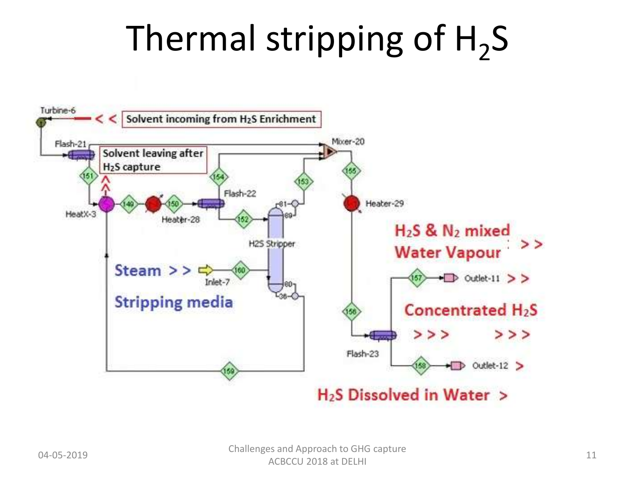# Thermal stripping of  $H_2S$

![](_page_10_Figure_1.jpeg)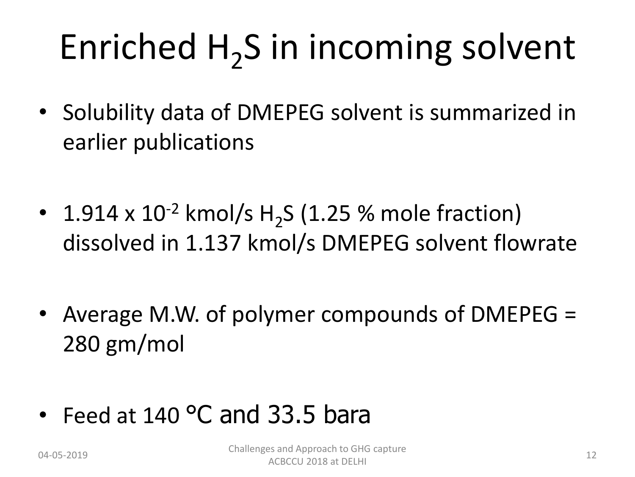# Enriched H<sub>2</sub>S in incoming solvent

- Solubility data of DMEPEG solvent is summarized in earlier publications
- 1.914 x  $10^{-2}$  kmol/s H<sub>2</sub>S (1.25 % mole fraction) dissolved in 1.137 kmol/s DMEPEG solvent flowrate
- Average M.W. of polymer compounds of DMEPEG = 280 gm/mol
- Feed at 140 °C and 33.5 bara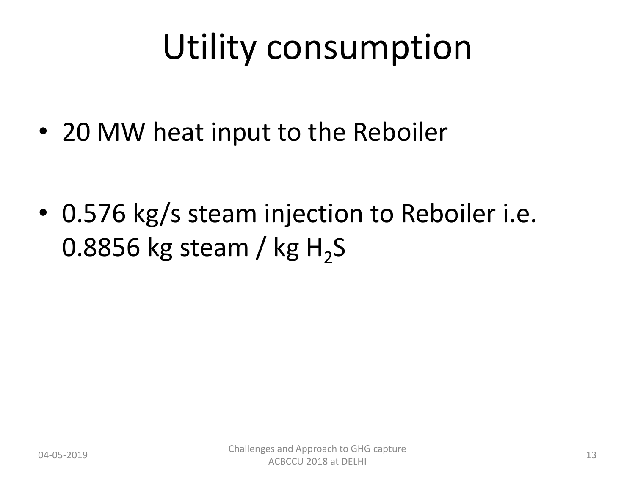## Utility consumption

• 20 MW heat input to the Reboiler

• 0.576 kg/s steam injection to Reboiler i.e. 0.8856 kg steam / kg H<sub>2</sub>S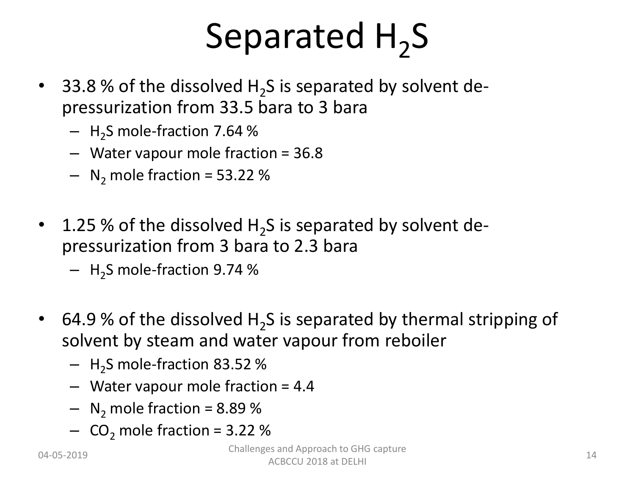# Separated  $H_2S$

- 33.8 % of the dissolved  $H_2S$  is separated by solvent depressurization from 33.5 bara to 3 bara
	- $-$  H<sub>2</sub>S mole-fraction 7.64 %
	- Water vapour mole fraction = 36.8
	- $-$  N<sub>2</sub> mole fraction = 53.22 %
- 1.25 % of the dissolved  $H_2S$  is separated by solvent depressurization from 3 bara to 2.3 bara
	- $-$  H<sub>2</sub>S mole-fraction 9.74 %
- 64.9 % of the dissolved  $H_2S$  is separated by thermal stripping of solvent by steam and water vapour from reboiler
	- $-$  H<sub>2</sub>S mole-fraction 83.52 %
	- Water vapour mole fraction = 4.4
	- $-$  N<sub>2</sub> mole fraction = 8.89 %
	- $-$  CO<sub>2</sub> mole fraction = 3.22 %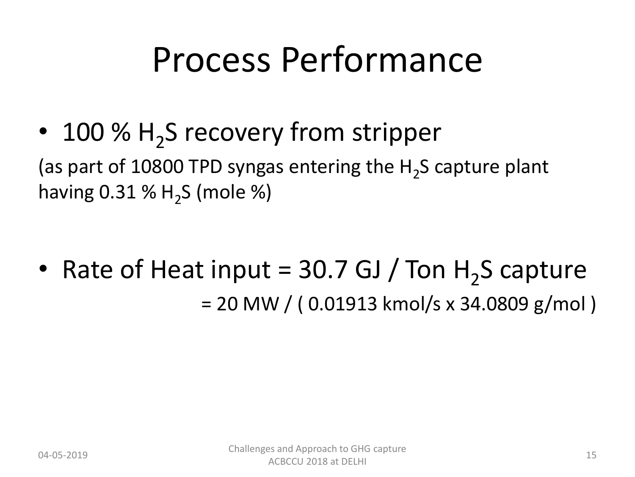## Process Performance

• 100 %  $H_2S$  recovery from stripper

(as part of 10800 TPD syngas entering the  $H_2$ S capture plant having 0.31 %  $H_2$ S (mole %)

• Rate of Heat input =  $30.7$  GJ / Ton H<sub>2</sub>S capture = 20 MW / ( 0.01913 kmol/s x 34.0809 g/mol )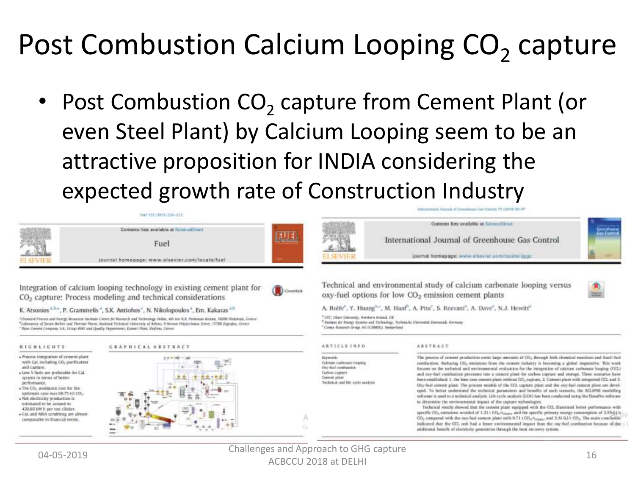## Post Combustion Calcium Looping CO<sub>2</sub> capture

• Post Combustion  $CO<sub>2</sub>$  capture from Cement Plant (or even Steel Plant) by Calcium Looping seem to be an attractive proposition for INDIA considering the expected growth rate of Construction Industry

![](_page_15_Figure_2.jpeg)

#### **HIGHLIGHTS**

#### **GEAPHICAL ABSTRACT**

- · Process integration of cement plant with Cal. including CO<sub>2</sub> purification and capture. - Low 5 hots are professible for Cal-
- system in terms of better performance · The CO<sub>2</sub> avoidance cost for the
- aptimum case was \$8.75 (et CO2) · Net electricity production is
- estimated to be around to 426.66 kW h per ton clinker.
- · Cal. and MEA sendthing are almost comparable in financial terms.

![](_page_15_Picture_10.jpeg)

**ARTICLE INFO** Arrest: **Gildren** carbonate looping

#### **ABSTRACT**

OG-Raf methodox Cubin capters Cressed plast Technical and life cycle analysis The process of commt production entits large amounts of CO2 through both chemical mections and food fael combustion. Reducing CO2 emissions from the cemest industry is becoming a global imperative. This work focuses on the technical and environmental evaluation for the integration of calcium carbonate longing (OCL) and ony-hall combustion processes into a consent plant for carbox capture and storage. There semarios have been exablished: 1. the twee case centent plant without CO2 capture, 2. Centent plant with integrated OCL and 3. Ony-turl cement plant. The process models of the CCL capture plant and the ony-harl cement plant are developed. To better understand the technical parameters and benefits of each scenario, the ECLIPSE modelling software is used to a technical analysis. Life cycle analysis (LCA) has been conducted using the Streative software to determine the environmental impact of the capture technologies.

Technical results showed that the centest plant equipped with the CCL illustrated better performance with specific CO2 entimizes avoided of 1.21 t CO2/2 sace and the specific primary energy comumption of 2.29.64/1 CO2 compared with the my-had syment plant with 0.71 + 00 y/lenger and 3.33 GJ/t CO2. The main conclusion indicated that the CCL unit had a lesser environmental logest than the oxy-fact combustion because of the additional benefit of electricity generation through the heat mesnery system.

04-05-2019 Challenges and Approach to GHG capture ACBCCU 2018 at DELHI 16 and Academy 2018 at DELHI 16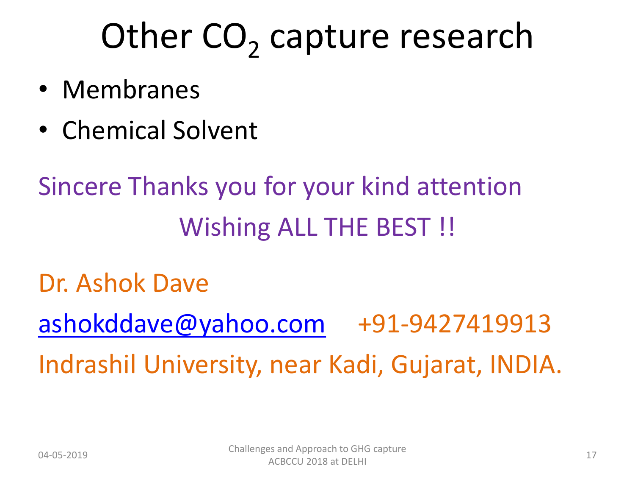# Other CO<sub>2</sub> capture research

- Membranes
- Chemical Solvent

## Sincere Thanks you for your kind attention Wishing ALL THE BEST!

### Dr. Ashok Dave

[ashokddave@yahoo.com](mailto:ashokddave@yahoo.com) +91-9427419913 Indrashil University, near Kadi, Gujarat, INDIA.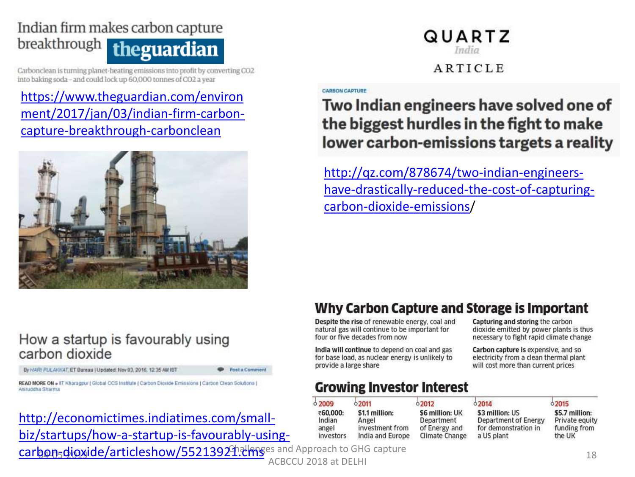### Indian firm makes carbon capture breakthrough theguardian

Carbonclean is turning planet-heating emissions into profit by converting CO2 into baking soda-and could lock up 60,000 tonnes of CO2 a year

### [https://www.theguardian.com/environ](https://www.theguardian.com/environment/2017/jan/03/indian-firm-carbon-capture-breakthrough-carbonclean) [ment/2017/jan/03/indian-firm-carbon](https://www.theguardian.com/environment/2017/jan/03/indian-firm-carbon-capture-breakthrough-carbonclean)[capture-breakthrough-carbonclean](https://www.theguardian.com/environment/2017/jan/03/indian-firm-carbon-capture-breakthrough-carbonclean)

![](_page_17_Picture_3.jpeg)

### How a startup is favourably using carbon dioxide

By HARI PULAICAT, ET Bureau | Updated: Nov 03, 2016, 12:35 AM IST

Post a Comment

READ MORE ON » IIT Kharagpur | Global CCS Institute | Carbon Dioxide Emissions | Carbon Clean Solutions | Aninuddha Sharma

### [http://economictimes.indiatimes.com/small](http://economictimes.indiatimes.com/small-biz/startups/how-a-startup-is-favourably-using-carbon-dioxide/articleshow/55213921.cms)[biz/startups/how-a-startup-is-favourably-using-](http://economictimes.indiatimes.com/small-biz/startups/how-a-startup-is-favourably-using-carbon-dioxide/articleshow/55213921.cms)

### QUARTZ India

### **ARTICLE**

#### **CARBON CAPTURE**

### Two Indian engineers have solved one of the biggest hurdles in the fight to make lower carbon-emissions targets a reality

[http://qz.com/878674/two-indian-engineers](https://qz.com/878674/two-indian-engineers-have-drastically-reduced-the-cost-of-capturing-carbon-dioxide-emissions/)[have-drastically-reduced-the-cost-of-capturing](https://qz.com/878674/two-indian-engineers-have-drastically-reduced-the-cost-of-capturing-carbon-dioxide-emissions/)[carbon-dioxide-emissions/](https://qz.com/878674/two-indian-engineers-have-drastically-reduced-the-cost-of-capturing-carbon-dioxide-emissions/)

### Why Carbon Capture and Storage is Important

Capturing and storing the carbon

dioxide emitted by power plants is thus

necessary to fight rapid climate change

Carbon capture is expensive, and so

will cost more than current prices

electricity from a clean thermal plant

Despite the rise of renewable energy, coal and natural gas will continue to be important for four or five decades from now

India will continue to depend on coal and gas for base load, as nuclear energy is unlikely to provide a large share

### **Growing Investor Interest**

| 0,2009    | 02011            | 02012           | 62014                | 02015          |
|-----------|------------------|-----------------|----------------------|----------------|
| ₹60,000:  | \$1.1 million:   | \$6 million: UK | \$3 million: US      | \$5.7 million: |
| Indian    | Angel            | Department      | Department of Energy | Private equity |
| angel     | investment from  | of Energy and   | for demonstration in | funding from   |
| investors | India and Europe | Climate Change  | a US plant           | the UK         |

carbon-dioxide/articleshow/55213929. http://www.acapture.capture.com/dioxide/articleshow/55213929. https://www<br>ACBCCU 2018 at DELHI